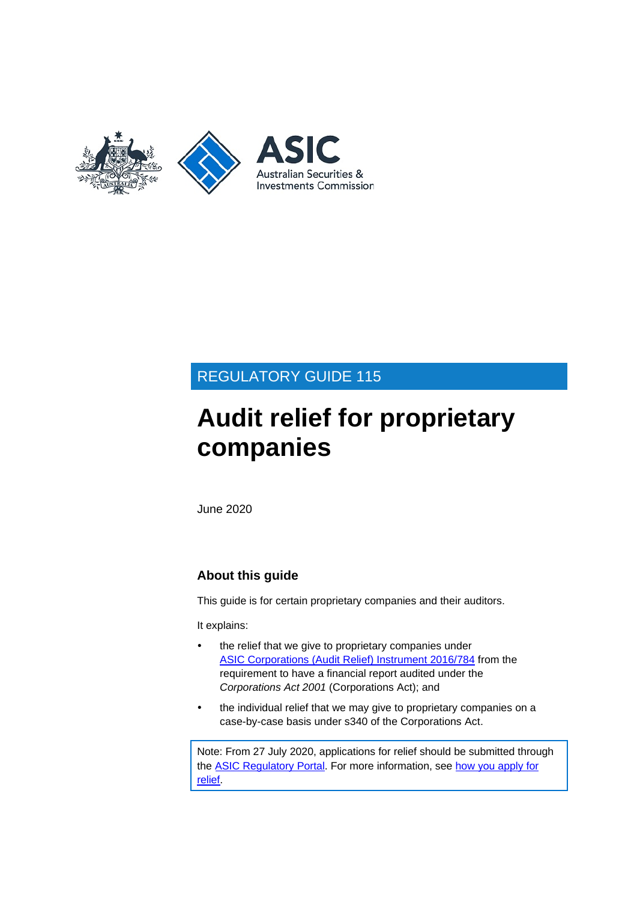

# REGULATORY GUIDE 115

# **Audit relief for proprietary companies**

June 2020

# **About this guide**

This guide is for certain proprietary companies and their auditors.

It explains:

- the relief that we give to proprietary companies under ASIC [Corporations \(Audit Relief\) Instrument 2016/784](https://www.legislation.gov.au/Details/F2016L01542) from the requirement to have a financial report audited under the *Corporations Act 2001* (Corporations Act); and
- the individual relief that we may give to proprietary companies on a case-by-case basis under s340 of the Corporations Act.

Note: From 27 July 2020, applications for relief should be submitted through the [ASIC Regulatory Portal.](https://regulatoryportal.asic.gov.au) For more information, see how you [apply for](https://asic.gov.au/about-asic/dealing-with-asic/apply-for-relief/changes-to-how-you-apply-for-relief/) [relief.](https://asic.gov.au/about-asic/dealing-with-asic/apply-for-relief/changes-to-how-you-apply-for-relief/)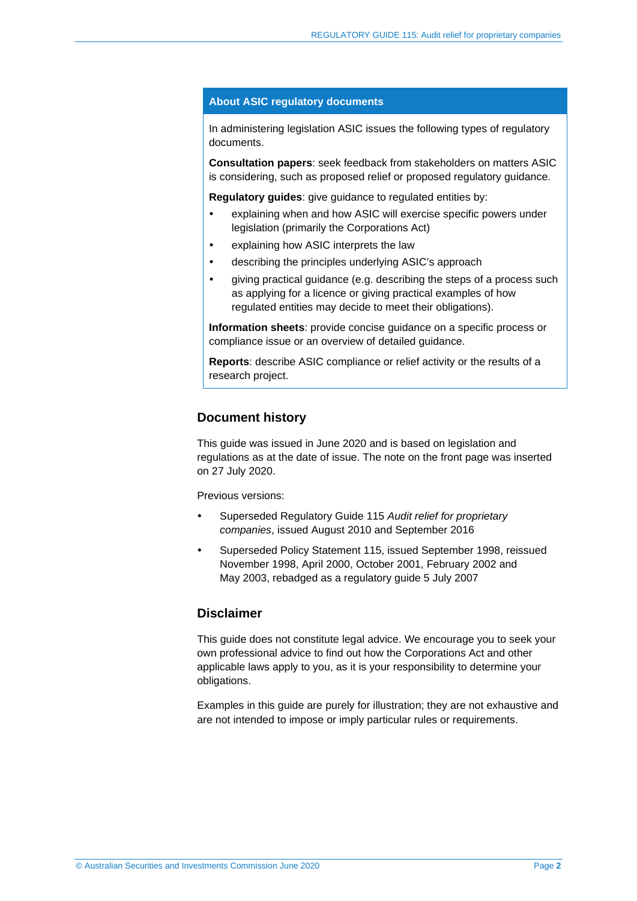### **About ASIC regulatory documents**

In administering legislation ASIC issues the following types of regulatory documents.

**Consultation papers**: seek feedback from stakeholders on matters ASIC is considering, such as proposed relief or proposed regulatory guidance.

**Regulatory guides**: give guidance to regulated entities by:

- explaining when and how ASIC will exercise specific powers under legislation (primarily the Corporations Act)
- explaining how ASIC interprets the law
- describing the principles underlying ASIC's approach
- giving practical guidance (e.g. describing the steps of a process such as applying for a licence or giving practical examples of how regulated entities may decide to meet their obligations).

**Information sheets**: provide concise guidance on a specific process or compliance issue or an overview of detailed guidance.

**Reports**: describe ASIC compliance or relief activity or the results of a research project.

### **Document history**

This guide was issued in June 2020 and is based on legislation and regulations as at the date of issue. The note on the front page was inserted on 27 July 2020.

Previous versions:

- Superseded Regulatory Guide 115 *Audit relief for proprietary companies*, issued August 2010 and September 2016
- Superseded Policy Statement 115, issued September 1998, reissued November 1998, April 2000, October 2001, February 2002 and May 2003, rebadged as a regulatory guide 5 July 2007

### **Disclaimer**

This guide does not constitute legal advice. We encourage you to seek your own professional advice to find out how the Corporations Act and other applicable laws apply to you, as it is your responsibility to determine your obligations.

Examples in this guide are purely for illustration; they are not exhaustive and are not intended to impose or imply particular rules or requirements.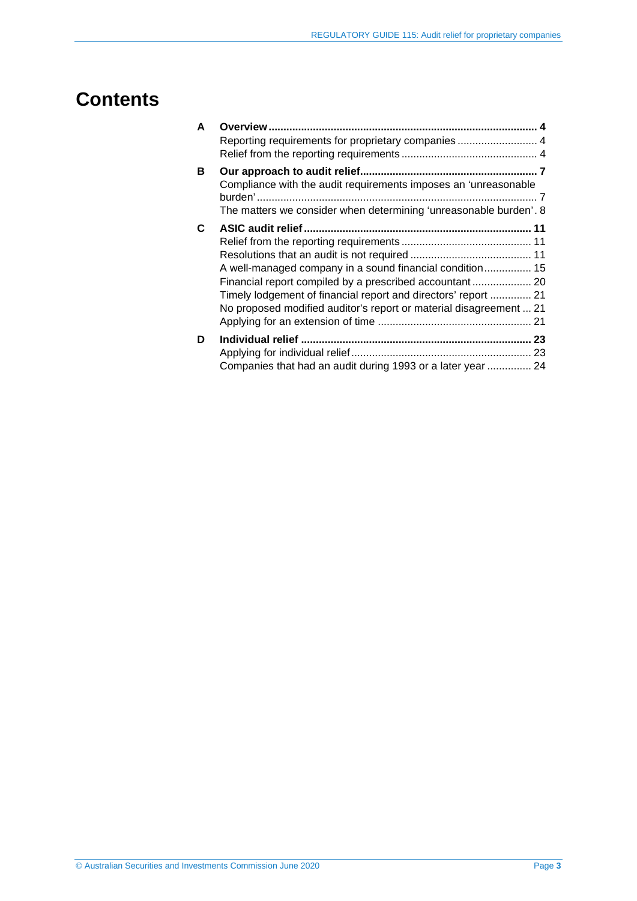# **Contents**

| A  |                                                                                                                                                                                                                                                             |  |
|----|-------------------------------------------------------------------------------------------------------------------------------------------------------------------------------------------------------------------------------------------------------------|--|
|    | Reporting requirements for proprietary companies  4                                                                                                                                                                                                         |  |
| В  | Compliance with the audit requirements imposes an 'unreasonable<br>The matters we consider when determining 'unreasonable burden'. 8                                                                                                                        |  |
| C. | A well-managed company in a sound financial condition 15<br>Financial report compiled by a prescribed accountant 20<br>Timely lodgement of financial report and directors' report  21<br>No proposed modified auditor's report or material disagreement  21 |  |
| D  | Companies that had an audit during 1993 or a later year  24                                                                                                                                                                                                 |  |
|    |                                                                                                                                                                                                                                                             |  |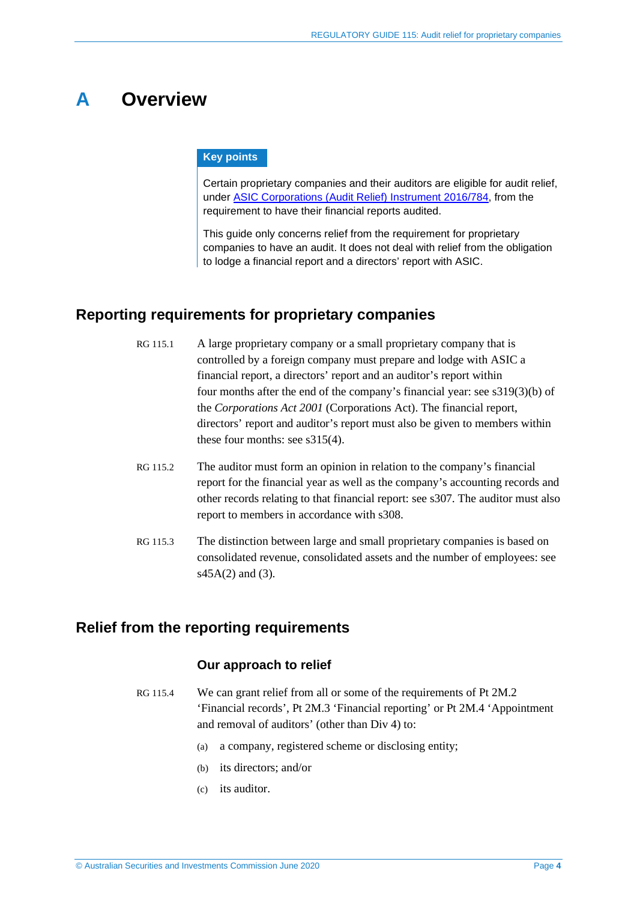# <span id="page-3-0"></span>**A Overview**

### **Key points**

Certain proprietary companies and their auditors are eligible for audit relief, under [ASIC Corporations \(Audit Relief\) Instrument 2016/784,](https://www.legislation.gov.au/Details/F2016L01542) from the requirement to have their financial reports audited.

This guide only concerns relief from the requirement for proprietary companies to have an audit. It does not deal with relief from the obligation to lodge a financial report and a directors' report with ASIC.

# <span id="page-3-1"></span>**Reporting requirements for proprietary companies**

| RG 115.1 | A large proprietary company or a small proprietary company that is             |
|----------|--------------------------------------------------------------------------------|
|          | controlled by a foreign company must prepare and lodge with ASIC a             |
|          | financial report, a directors' report and an auditor's report within           |
|          | four months after the end of the company's financial year: see $s319(3)(b)$ of |
|          | the Corporations Act 2001 (Corporations Act). The financial report,            |
|          | directors' report and auditor's report must also be given to members within    |
|          | these four months: see $s315(4)$ .                                             |
|          |                                                                                |

- RG 115.2 The auditor must form an opinion in relation to the company's financial report for the financial year as well as the company's accounting records and other records relating to that financial report: see s307. The auditor must also report to members in accordance with s308.
- RG 115.3 The distinction between large and small proprietary companies is based on consolidated revenue, consolidated assets and the number of employees: see  $s45A(2)$  and (3).

# <span id="page-3-2"></span>**Relief from the reporting requirements**

### **Our approach to relief**

- RG 115.4 We can grant relief from all or some of the requirements of Pt 2M.2 'Financial records', Pt 2M.3 'Financial reporting' or Pt 2M.4 'Appointment and removal of auditors' (other than Div 4) to:
	- (a) a company, registered scheme or disclosing entity;
	- (b) its directors; and/or
	- (c) its auditor.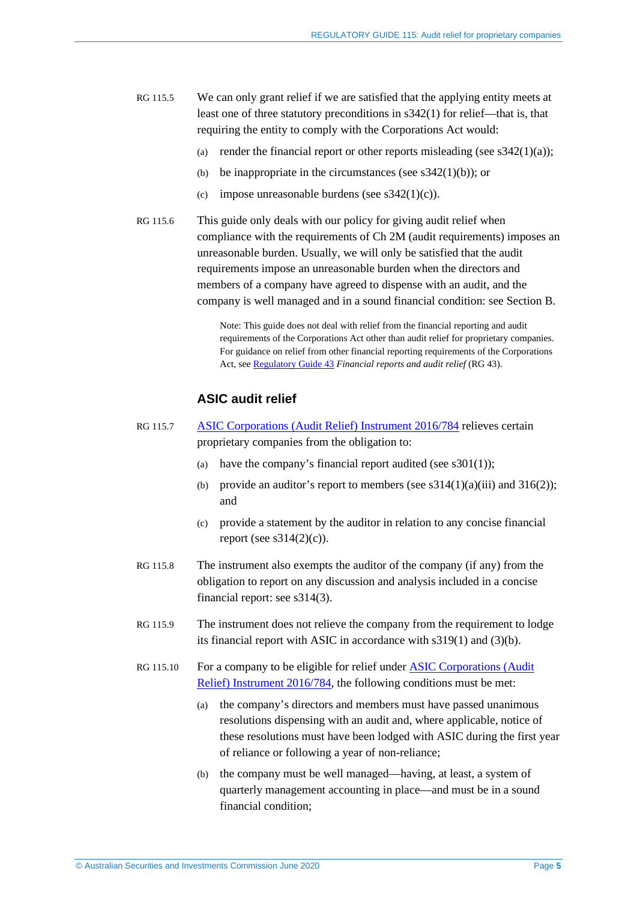- RG 115.5 We can only grant relief if we are satisfied that the applying entity meets at least one of three statutory preconditions in s342(1) for relief—that is, that requiring the entity to comply with the Corporations Act would:
	- (a) render the financial report or other reports misleading (see  $s342(1)(a)$ );
	- (b) be inappropriate in the circumstances (see  $s342(1)(b)$ ); or
	- (c) impose unreasonable burdens (see  $s342(1)(c)$ ).
- RG 115.6 This guide only deals with our policy for giving audit relief when compliance with the requirements of Ch 2M (audit requirements) imposes an unreasonable burden. Usually, we will only be satisfied that the audit requirements impose an unreasonable burden when the directors and members of a company have agreed to dispense with an audit, and the company is well managed and in a sound financial condition: see Section [B.](#page-6-0)

Note: This guide does not deal with relief from the financial reporting and audit requirements of the Corporations Act other than audit relief for proprietary companies. For guidance on relief from other financial reporting requirements of the Corporations Act, see [Regulatory Guide 43](http://asic.gov.au/regulatory-resources/find-a-document/regulatory-guides/rg-43-financial-reports-and-audit-relief/) *Financial reports and audit relief* (RG 43).

## **ASIC audit relief**

- RG 115.7 [ASIC Corporations \(Audit Relief\) Instrument 2016/784](https://www.legislation.gov.au/Details/F2016L01542) relieves certain proprietary companies from the obligation to:
	- (a) have the company's financial report audited (see  $s301(1)$ );
	- (b) provide an auditor's report to members (see  $s314(1)(a)(iii)$  and  $316(2)$ ); and
	- (c) provide a statement by the auditor in relation to any concise financial report (see  $s314(2)(c)$ ).
- RG 115.8 The instrument also exempts the auditor of the company (if any) from the obligation to report on any discussion and analysis included in a concise financial report: see s314(3).
- RG 115.9 The instrument does not relieve the company from the requirement to lodge its financial report with ASIC in accordance with s319(1) and (3)(b).
- RG 115.10 For a company to be eligible for relief under [ASIC Corporations \(Audit](https://www.legislation.gov.au/Details/F2016L01542)  [Relief\) Instrument 2016/784,](https://www.legislation.gov.au/Details/F2016L01542) the following conditions must be met:
	- (a) the company's directors and members must have passed unanimous resolutions dispensing with an audit and, where applicable, notice of these resolutions must have been lodged with ASIC during the first year of reliance or following a year of non-reliance;
	- (b) the company must be well managed—having, at least, a system of quarterly management accounting in place—and must be in a sound financial condition;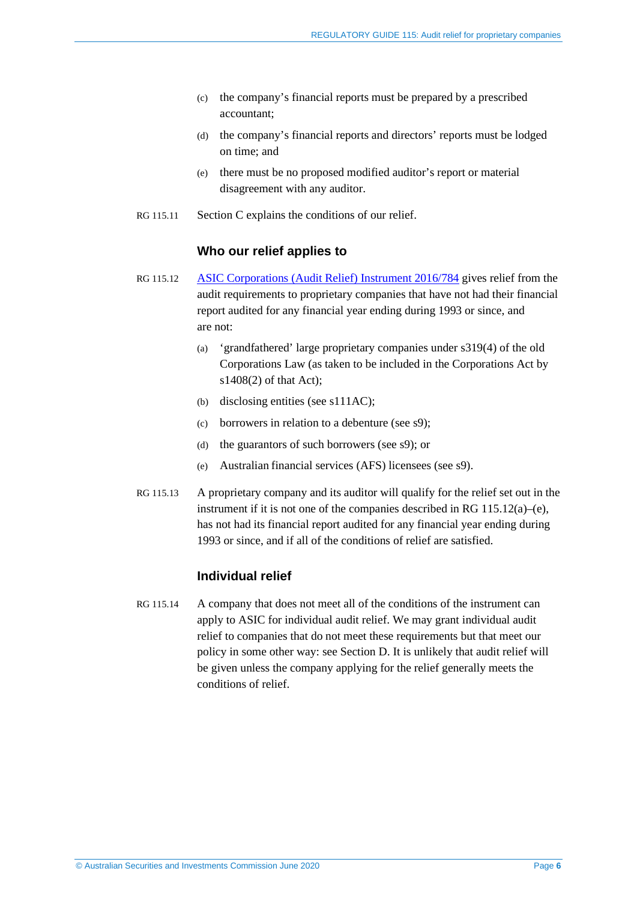- (c) the company's financial reports must be prepared by a prescribed accountant;
- (d) the company's financial reports and directors' reports must be lodged on time; and
- (e) there must be no proposed modified auditor's report or material disagreement with any auditor.
- RG 115.11 Section [C](#page-10-0) explains the conditions of our relief.

### **Who our relief applies to**

- <span id="page-5-0"></span>RG 115.12 [ASIC Corporations \(Audit Relief\) Instrument 2016/784](https://www.legislation.gov.au/Details/F2016L01542) gives relief from the audit requirements to proprietary companies that have not had their financial report audited for any financial year ending during 1993 or since, and are not:
	- (a) 'grandfathered' large proprietary companies under s319(4) of the old Corporations Law (as taken to be included in the Corporations Act by s1408(2) of that Act);
	- (b) disclosing entities (see s111AC);
	- (c) borrowers in relation to a debenture (see s9);
	- (d) the guarantors of such borrowers (see s9); or
	- (e) Australian financial services (AFS) licensees (see s9).
- RG 115.13 A proprietary company and its auditor will qualify for the relief set out in the instrument if it is not one of the companies described in [RG 115.12\(](#page-5-0)a)–(e), has not had its financial report audited for any financial year ending during 1993 or since, and if all of the conditions of relief are satisfied.

### **Individual relief**

RG 115.14 A company that does not meet all of the conditions of the instrument can apply to ASIC for individual audit relief. We may grant individual audit relief to companies that do not meet these requirements but that meet our policy in some other way: see Section [D.](#page-22-0) It is unlikely that audit relief will be given unless the company applying for the relief generally meets the conditions of relief.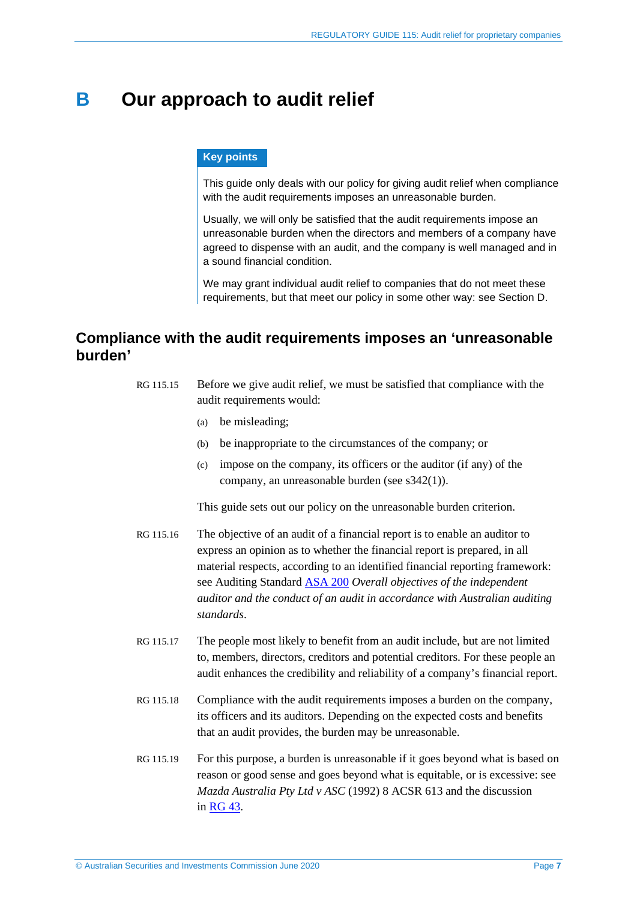# <span id="page-6-0"></span>**B Our approach to audit relief**

#### **Key points**

This guide only deals with our policy for giving audit relief when compliance with the audit requirements imposes an unreasonable burden.

Usually, we will only be satisfied that the audit requirements impose an unreasonable burden when the directors and members of a company have agreed to dispense with an audit, and the company is well managed and in a sound financial condition.

We may grant individual audit relief to companies that do not meet these requirements, but that meet our policy in some other way: see Section [D.](#page-22-0)

# <span id="page-6-1"></span>**Compliance with the audit requirements imposes an 'unreasonable burden'**

| RG 115.15 | Before we give audit relief, we must be satisfied that compliance with the |
|-----------|----------------------------------------------------------------------------|
|           | audit requirements would:                                                  |

- (a) be misleading;
- (b) be inappropriate to the circumstances of the company; or
- (c) impose on the company, its officers or the auditor (if any) of the company, an unreasonable burden (see s342(1)).

This guide sets out our policy on the unreasonable burden criterion.

- RG 115.16 The objective of an audit of a financial report is to enable an auditor to express an opinion as to whether the financial report is prepared, in all material respects, according to an identified financial reporting framework: see Auditing Standard [ASA 200](https://www.auasb.gov.au/Pronouncements/Australian-Auditing-Standards.aspx) *Overall objectives of the independent auditor and the conduct of an audit in accordance with Australian auditing standards*.
- RG 115.17 The people most likely to benefit from an audit include, but are not limited to, members, directors, creditors and potential creditors. For these people an audit enhances the credibility and reliability of a company's financial report.
- RG 115.18 Compliance with the audit requirements imposes a burden on the company, its officers and its auditors. Depending on the expected costs and benefits that an audit provides, the burden may be unreasonable.
- RG 115.19 For this purpose, a burden is unreasonable if it goes beyond what is based on reason or good sense and goes beyond what is equitable, or is excessive: see *Mazda Australia Pty Ltd v ASC* (1992) 8 ACSR 613 and the discussion in [RG](http://asic.gov.au/regulatory-resources/find-a-document/regulatory-guides/rg-43-financial-reports-and-audit-relief/) 43.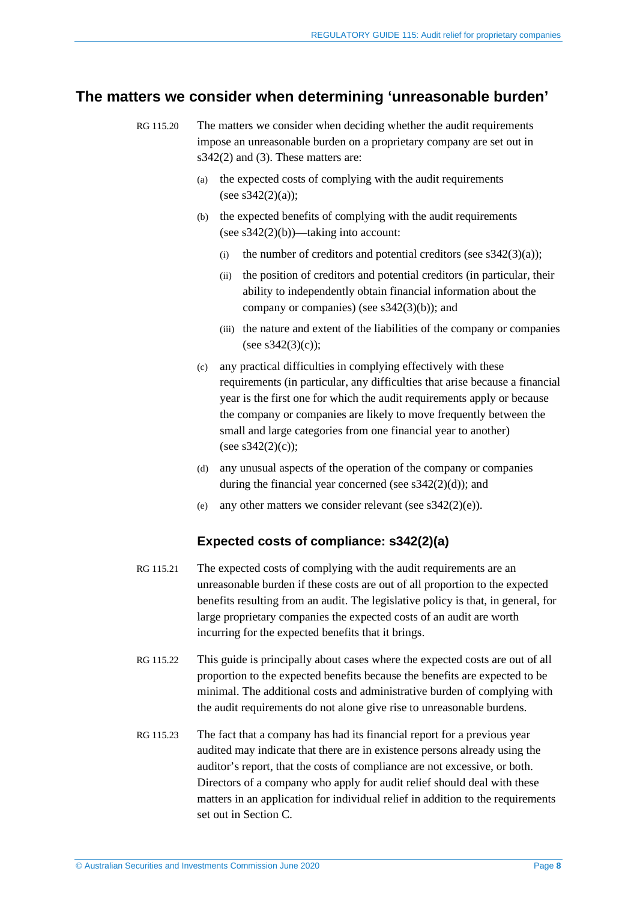# <span id="page-7-1"></span><span id="page-7-0"></span>**The matters we consider when determining 'unreasonable burden'**

- RG 115.20 The matters we consider when deciding whether the audit requirements impose an unreasonable burden on a proprietary company are set out in s342(2) and (3). These matters are:
	- (a) the expected costs of complying with the audit requirements (see  $s342(2)(a)$ );
	- (b) the expected benefits of complying with the audit requirements (see  $s342(2)(b)$ )—taking into account:
		- (i) the number of creditors and potential creditors (see  $s342(3)(a)$ );
		- (ii) the position of creditors and potential creditors (in particular, their ability to independently obtain financial information about the company or companies) (see  $s342(3)(b)$ ); and
		- (iii) the nature and extent of the liabilities of the company or companies (see  $s342(3)(c)$ );
	- (c) any practical difficulties in complying effectively with these requirements (in particular, any difficulties that arise because a financial year is the first one for which the audit requirements apply or because the company or companies are likely to move frequently between the small and large categories from one financial year to another) (see  $s342(2)(c)$ ):
	- (d) any unusual aspects of the operation of the company or companies during the financial year concerned (see s342(2)(d)); and
	- (e) any other matters we consider relevant (see  $s342(2)(e)$ ).

### **Expected costs of compliance: s342(2)(a)**

- RG 115.21 The expected costs of complying with the audit requirements are an unreasonable burden if these costs are out of all proportion to the expected benefits resulting from an audit. The legislative policy is that, in general, for large proprietary companies the expected costs of an audit are worth incurring for the expected benefits that it brings.
- RG 115.22 This guide is principally about cases where the expected costs are out of all proportion to the expected benefits because the benefits are expected to be minimal. The additional costs and administrative burden of complying with the audit requirements do not alone give rise to unreasonable burdens.
- RG 115.23 The fact that a company has had its financial report for a previous year audited may indicate that there are in existence persons already using the auditor's report, that the costs of compliance are not excessive, or both. Directors of a company who apply for audit relief should deal with these matters in an application for individual relief in addition to the requirements set out in Section [C.](#page-10-0)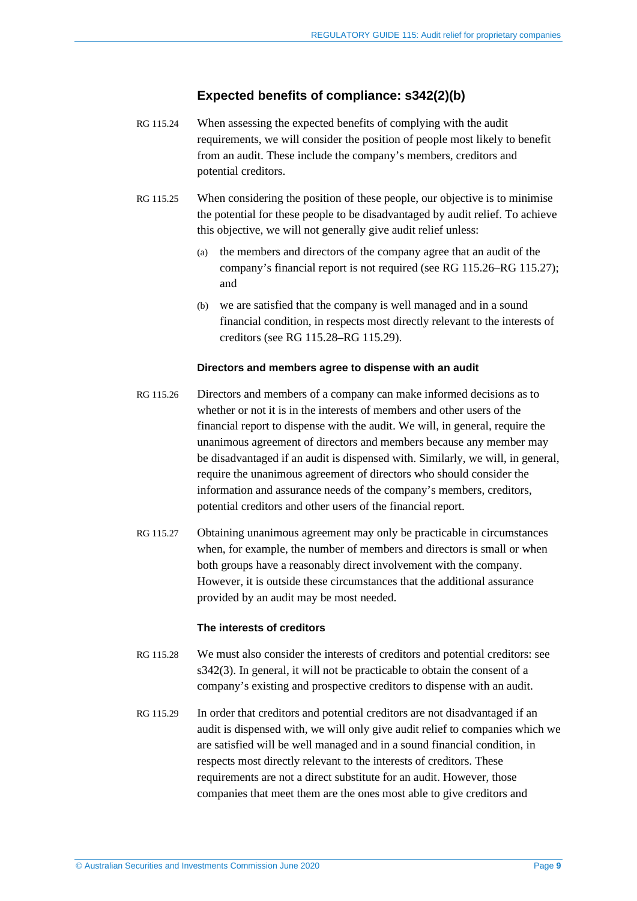## **Expected benefits of compliance: s342(2)(b)**

- RG 115.24 When assessing the expected benefits of complying with the audit requirements, we will consider the position of people most likely to benefit from an audit. These include the company's members, creditors and potential creditors.
- RG 115.25 When considering the position of these people, our objective is to minimise the potential for these people to be disadvantaged by audit relief. To achieve this objective, we will not generally give audit relief unless:
	- (a) the members and directors of the company agree that an audit of the company's financial report is not required (see [RG 115.26](#page-8-0)[–RG 115.27\)](#page-8-1); and
	- (b) we are satisfied that the company is well managed and in a sound financial condition, in respects most directly relevant to the interests of creditors (see [RG 115.28–](#page-8-2)[RG 115.29\)](#page-8-3).

#### **Directors and members agree to dispense with an audit**

- <span id="page-8-0"></span>RG 115.26 Directors and members of a company can make informed decisions as to whether or not it is in the interests of members and other users of the financial report to dispense with the audit. We will, in general, require the unanimous agreement of directors and members because any member may be disadvantaged if an audit is dispensed with. Similarly, we will, in general, require the unanimous agreement of directors who should consider the information and assurance needs of the company's members, creditors, potential creditors and other users of the financial report.
- <span id="page-8-1"></span>RG 115.27 Obtaining unanimous agreement may only be practicable in circumstances when, for example, the number of members and directors is small or when both groups have a reasonably direct involvement with the company. However, it is outside these circumstances that the additional assurance provided by an audit may be most needed.

#### **The interests of creditors**

- <span id="page-8-2"></span>RG 115.28 We must also consider the interests of creditors and potential creditors: see s342(3). In general, it will not be practicable to obtain the consent of a company's existing and prospective creditors to dispense with an audit.
- <span id="page-8-3"></span>RG 115.29 In order that creditors and potential creditors are not disadvantaged if an audit is dispensed with, we will only give audit relief to companies which we are satisfied will be well managed and in a sound financial condition, in respects most directly relevant to the interests of creditors. These requirements are not a direct substitute for an audit. However, those companies that meet them are the ones most able to give creditors and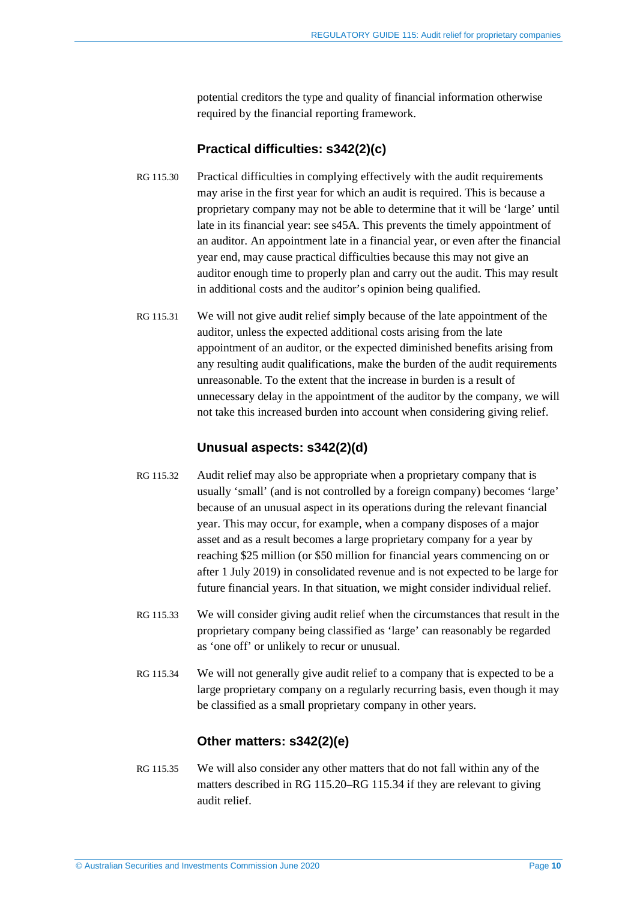potential creditors the type and quality of financial information otherwise required by the financial reporting framework.

## **Practical difficulties: s342(2)(c)**

- RG 115.30 Practical difficulties in complying effectively with the audit requirements may arise in the first year for which an audit is required. This is because a proprietary company may not be able to determine that it will be 'large' until late in its financial year: see s45A. This prevents the timely appointment of an auditor. An appointment late in a financial year, or even after the financial year end, may cause practical difficulties because this may not give an auditor enough time to properly plan and carry out the audit. This may result in additional costs and the auditor's opinion being qualified.
- RG 115.31 We will not give audit relief simply because of the late appointment of the auditor, unless the expected additional costs arising from the late appointment of an auditor, or the expected diminished benefits arising from any resulting audit qualifications, make the burden of the audit requirements unreasonable. To the extent that the increase in burden is a result of unnecessary delay in the appointment of the auditor by the company, we will not take this increased burden into account when considering giving relief.

## **Unusual aspects: s342(2)(d)**

- RG 115.32 Audit relief may also be appropriate when a proprietary company that is usually 'small' (and is not controlled by a foreign company) becomes 'large' because of an unusual aspect in its operations during the relevant financial year. This may occur, for example, when a company disposes of a major asset and as a result becomes a large proprietary company for a year by reaching \$25 million (or \$50 million for financial years commencing on or after 1 July 2019) in consolidated revenue and is not expected to be large for future financial years. In that situation, we might consider individual relief.
- RG 115.33 We will consider giving audit relief when the circumstances that result in the proprietary company being classified as 'large' can reasonably be regarded as 'one off' or unlikely to recur or unusual.
- <span id="page-9-0"></span>RG 115.34 We will not generally give audit relief to a company that is expected to be a large proprietary company on a regularly recurring basis, even though it may be classified as a small proprietary company in other years.

## **Other matters: s342(2)(e)**

RG 115.35 We will also consider any other matters that do not fall within any of the matters described in [RG 115.20](#page-7-1)[–RG 115.34](#page-9-0) if they are relevant to giving audit relief.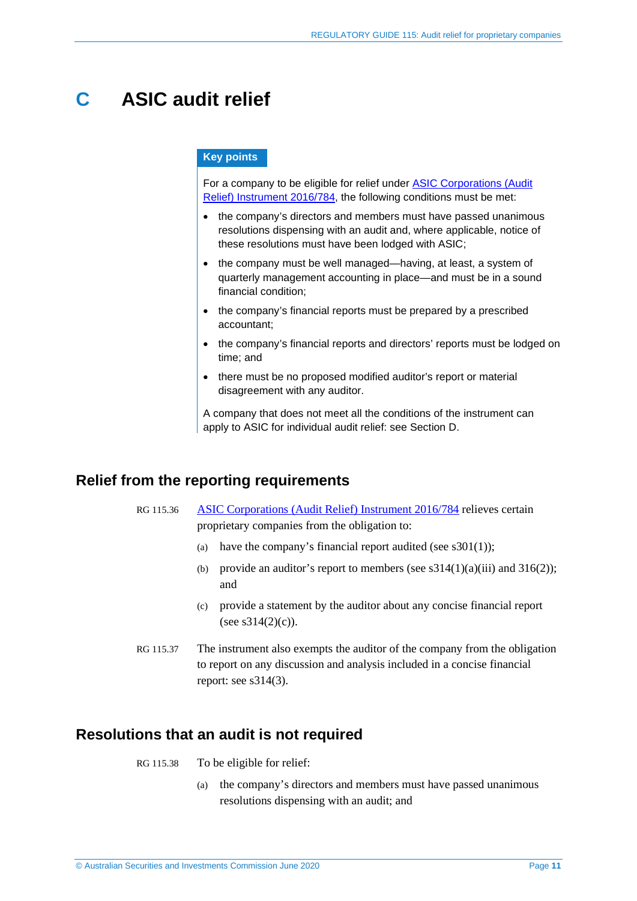# <span id="page-10-0"></span>**C ASIC audit relief**

#### **Key points**

For a company to be eligible for relief under [ASIC Corporations \(Audit](https://www.legislation.gov.au/Details/F2016L01542)  [Relief\) Instrument 2016/784,](https://www.legislation.gov.au/Details/F2016L01542) the following conditions must be met:

- the company's directors and members must have passed unanimous resolutions dispensing with an audit and, where applicable, notice of these resolutions must have been lodged with ASIC;
- the company must be well managed—having, at least, a system of quarterly management accounting in place—and must be in a sound financial condition;
- the company's financial reports must be prepared by a prescribed accountant;
- the company's financial reports and directors' reports must be lodged on time; and
- there must be no proposed modified auditor's report or material disagreement with any auditor.

A company that does not meet all the conditions of the instrument can apply to ASIC for individual audit relief: see Section [D.](#page-22-0)

# <span id="page-10-1"></span>**Relief from the reporting requirements**

RG 115.36 [ASIC Corporations \(Audit Relief\) Instrument 2016/784](https://www.legislation.gov.au/Details/F2016L01542) relieves certain proprietary companies from the obligation to:

- (a) have the company's financial report audited (see  $s301(1)$ ):
- (b) provide an auditor's report to members (see  $s314(1)(a)(iii)$  and  $316(2)$ ); and
- (c) provide a statement by the auditor about any concise financial report (see  $s314(2)(c)$ ).
- RG 115.37 The instrument also exempts the auditor of the company from the obligation to report on any discussion and analysis included in a concise financial report: see s314(3).

# <span id="page-10-2"></span>**Resolutions that an audit is not required**

RG 115.38 To be eligible for relief:

(a) the company's directors and members must have passed unanimous resolutions dispensing with an audit; and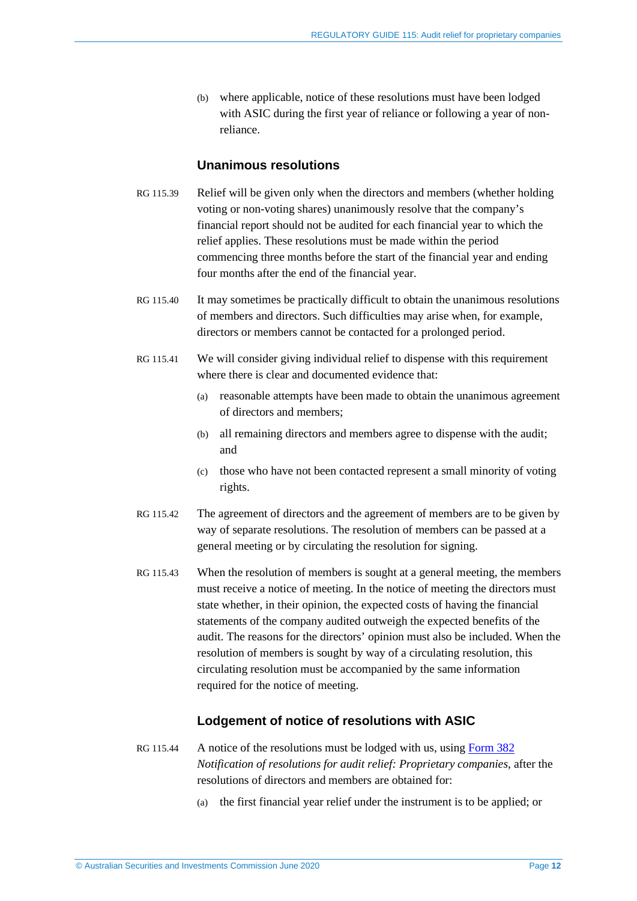(b) where applicable, notice of these resolutions must have been lodged with ASIC during the first year of reliance or following a year of nonreliance.

### **Unanimous resolutions**

- <span id="page-11-0"></span>RG 115.39 Relief will be given only when the directors and members (whether holding voting or non-voting shares) unanimously resolve that the company's financial report should not be audited for each financial year to which the relief applies. These resolutions must be made within the period commencing three months before the start of the financial year and ending four months after the end of the financial year.
- RG 115.40 It may sometimes be practically difficult to obtain the unanimous resolutions of members and directors. Such difficulties may arise when, for example, directors or members cannot be contacted for a prolonged period.
- RG 115.41 We will consider giving individual relief to dispense with this requirement where there is clear and documented evidence that:
	- (a) reasonable attempts have been made to obtain the unanimous agreement of directors and members;
	- (b) all remaining directors and members agree to dispense with the audit; and
	- (c) those who have not been contacted represent a small minority of voting rights.
- RG 115.42 The agreement of directors and the agreement of members are to be given by way of separate resolutions. The resolution of members can be passed at a general meeting or by circulating the resolution for signing.
- RG 115.43 When the resolution of members is sought at a general meeting, the members must receive a notice of meeting. In the notice of meeting the directors must state whether, in their opinion, the expected costs of having the financial statements of the company audited outweigh the expected benefits of the audit. The reasons for the directors' opinion must also be included. When the resolution of members is sought by way of a circulating resolution, this circulating resolution must be accompanied by the same information required for the notice of meeting.

### **Lodgement of notice of resolutions with ASIC**

- RG 115.44 A notice of the resolutions must be lodged with us, using [Form 382](http://asic.gov.au/regulatory-resources/forms/forms-folder/382-notification-of-resolutions-for-audit-relief-proprietary-companies/) *Notification of resolutions for audit relief: Proprietary companies*, after the resolutions of directors and members are obtained for:
	- (a) the first financial year relief under the instrument is to be applied; or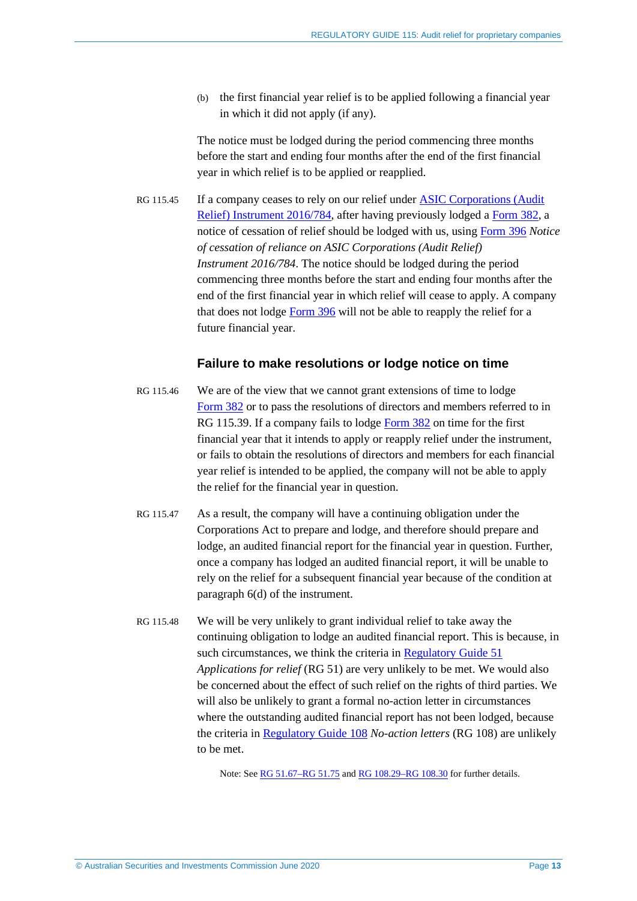(b) the first financial year relief is to be applied following a financial year in which it did not apply (if any).

The notice must be lodged during the period commencing three months before the start and ending four months after the end of the first financial year in which relief is to be applied or reapplied.

RG 115.45 If a company ceases to rely on our relief under [ASIC Corporations \(Audit](https://www.legislation.gov.au/Details/F2016L01542)  [Relief\) Instrument 2016/784,](https://www.legislation.gov.au/Details/F2016L01542) after having previously lodged a [Form 382,](http://asic.gov.au/regulatory-resources/forms/forms-folder/382-notification-of-resolutions-for-audit-relief-proprietary-companies/) a notice of cessation of relief should be lodged with us, using [Form 396](https://asic.gov.au/regulatory-resources/forms/forms-folder/396-notice-of-cessation-of-reliance-on-asic-corporations-audit-relief-instrument-2016784/) *Notice of cessation of reliance on ASIC Corporations (Audit Relief) Instrument 2016/784*. The notice should be lodged during the period commencing three months before the start and ending four months after the end of the first financial year in which relief will cease to apply. A company that does not lodge [Form 396](https://asic.gov.au/regulatory-resources/forms/forms-folder/396-notice-of-cessation-of-reliance-on-asic-corporations-audit-relief-instrument-2016784/) will not be able to reapply the relief for a future financial year.

## **Failure to make resolutions or lodge notice on time**

- RG 115.46 We are of the view that we cannot grant extensions of time to lodge [Form](http://asic.gov.au/regulatory-resources/forms/forms-folder/382-notification-of-resolutions-for-audit-relief-proprietary-companies/) 382 or to pass the resolutions of directors and members referred to in [RG 115.39.](#page-11-0) If a company fails to lodge [Form 382](http://asic.gov.au/regulatory-resources/forms/forms-folder/382-notification-of-resolutions-for-audit-relief-proprietary-companies/) on time for the first financial year that it intends to apply or reapply relief under the instrument, or fails to obtain the resolutions of directors and members for each financial year relief is intended to be applied, the company will not be able to apply the relief for the financial year in question.
- RG 115.47 As a result, the company will have a continuing obligation under the Corporations Act to prepare and lodge, and therefore should prepare and lodge, an audited financial report for the financial year in question. Further, once a company has lodged an audited financial report, it will be unable to rely on the relief for a subsequent financial year because of the condition at paragraph 6(d) of the instrument.
- RG 115.48 We will be very unlikely to grant individual relief to take away the continuing obligation to lodge an audited financial report. This is because, in such circumstances, we think the criteria in [Regulatory Guide 51](http://www.asic.gov.au/regulatory-resources/find-a-document/regulatory-guides/rg-51-applications-for-relief/) *Applications for relief* (RG 51) are very unlikely to be met. We would also be concerned about the effect of such relief on the rights of third parties. We will also be unlikely to grant a formal no-action letter in circumstances where the outstanding audited financial report has not been lodged, because the criteria i[n Regulatory Guide 108](http://asic.gov.au/regulatory-resources/find-a-document/regulatory-guides/rg-108-no-action-letters/) *No-action letters* (RG 108) are unlikely to be met.

Note: See [RG 51.67–RG 51.75](http://www.asic.gov.au/regulatory-resources/find-a-document/regulatory-guides/rg-51-applications-for-relief/) and [RG 108.29–RG](http://asic.gov.au/regulatory-resources/find-a-document/regulatory-guides/rg-108-no-action-letters/) 108.30 for further details.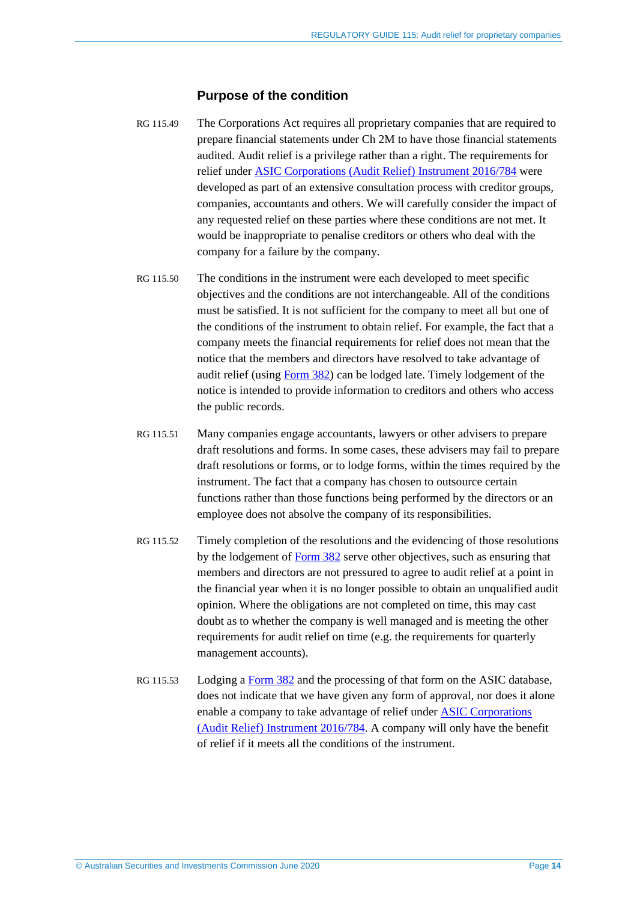#### **Purpose of the condition**

- RG 115.49 The Corporations Act requires all proprietary companies that are required to prepare financial statements under Ch 2M to have those financial statements audited. Audit relief is a privilege rather than a right. The requirements for relief under [ASIC Corporations \(Audit Relief\) Instrument 2016/784](https://www.legislation.gov.au/Details/F2016L01542) were developed as part of an extensive consultation process with creditor groups, companies, accountants and others. We will carefully consider the impact of any requested relief on these parties where these conditions are not met. It would be inappropriate to penalise creditors or others who deal with the company for a failure by the company.
- RG 115.50 The conditions in the instrument were each developed to meet specific objectives and the conditions are not interchangeable. All of the conditions must be satisfied. It is not sufficient for the company to meet all but one of the conditions of the instrument to obtain relief. For example, the fact that a company meets the financial requirements for relief does not mean that the notice that the members and directors have resolved to take advantage of audit relief (using [Form 382\)](http://asic.gov.au/regulatory-resources/forms/forms-folder/382-notification-of-resolutions-for-audit-relief-proprietary-companies/) can be lodged late. Timely lodgement of the notice is intended to provide information to creditors and others who access the public records.
- RG 115.51 Many companies engage accountants, lawyers or other advisers to prepare draft resolutions and forms. In some cases, these advisers may fail to prepare draft resolutions or forms, or to lodge forms, within the times required by the instrument. The fact that a company has chosen to outsource certain functions rather than those functions being performed by the directors or an employee does not absolve the company of its responsibilities.
- RG 115.52 Timely completion of the resolutions and the evidencing of those resolutions by the lodgement of [Form 382](http://asic.gov.au/regulatory-resources/forms/forms-folder/382-notification-of-resolutions-for-audit-relief-proprietary-companies/) serve other objectives, such as ensuring that members and directors are not pressured to agree to audit relief at a point in the financial year when it is no longer possible to obtain an unqualified audit opinion. Where the obligations are not completed on time, this may cast doubt as to whether the company is well managed and is meeting the other requirements for audit relief on time (e.g. the requirements for quarterly management accounts).
- RG 115.53 Lodging a [Form 382](http://asic.gov.au/regulatory-resources/forms/forms-folder/382-notification-of-resolutions-for-audit-relief-proprietary-companies/) and the processing of that form on the ASIC database, does not indicate that we have given any form of approval, nor does it alone enable a company to take advantage of relief under [ASIC Corporations](https://www.legislation.gov.au/Details/F2016L01542)  [\(Audit Relief\) Instrument 2016/784.](https://www.legislation.gov.au/Details/F2016L01542) A company will only have the benefit of relief if it meets all the conditions of the instrument.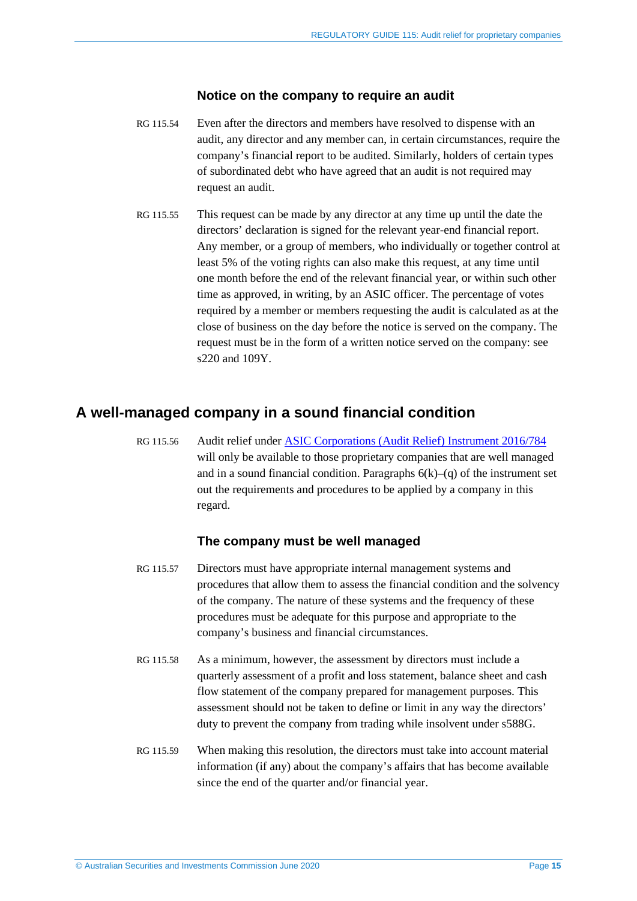## **Notice on the company to require an audit**

- RG 115.54 Even after the directors and members have resolved to dispense with an audit, any director and any member can, in certain circumstances, require the company's financial report to be audited. Similarly, holders of certain types of subordinated debt who have agreed that an audit is not required may request an audit.
- RG 115.55 This request can be made by any director at any time up until the date the directors' declaration is signed for the relevant year-end financial report. Any member, or a group of members, who individually or together control at least 5% of the voting rights can also make this request, at any time until one month before the end of the relevant financial year, or within such other time as approved, in writing, by an ASIC officer. The percentage of votes required by a member or members requesting the audit is calculated as at the close of business on the day before the notice is served on the company. The request must be in the form of a written notice served on the company: see s220 and 109Y.

# <span id="page-14-0"></span>**A well-managed company in a sound financial condition**

RG 115.56 Audit relief under [ASIC Corporations \(Audit Relief\) Instrument 2016/784](https://www.legislation.gov.au/Details/F2016L01542) will only be available to those proprietary companies that are well managed and in a sound financial condition. Paragraphs  $6(k)$ –(q) of the instrument set out the requirements and procedures to be applied by a company in this regard.

## **The company must be well managed**

- RG 115.57 Directors must have appropriate internal management systems and procedures that allow them to assess the financial condition and the solvency of the company. The nature of these systems and the frequency of these procedures must be adequate for this purpose and appropriate to the company's business and financial circumstances.
- RG 115.58 As a minimum, however, the assessment by directors must include a quarterly assessment of a profit and loss statement, balance sheet and cash flow statement of the company prepared for management purposes. This assessment should not be taken to define or limit in any way the directors' duty to prevent the company from trading while insolvent under s588G.
- RG 115.59 When making this resolution, the directors must take into account material information (if any) about the company's affairs that has become available since the end of the quarter and/or financial year.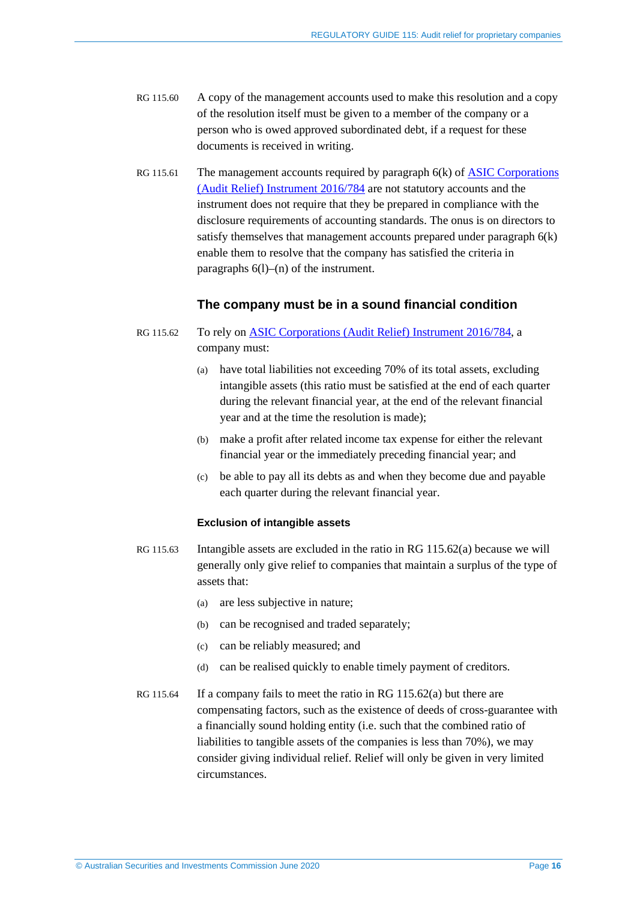- RG 115.60 A copy of the management accounts used to make this resolution and a copy of the resolution itself must be given to a member of the company or a person who is owed approved subordinated debt, if a request for these documents is received in writing.
- RG 115.61 The management accounts required by paragraph 6(k) of ASIC Corporations [\(Audit Relief\) Instrument 2016/784](https://www.legislation.gov.au/Details/F2016L01542) are not statutory accounts and the instrument does not require that they be prepared in compliance with the disclosure requirements of accounting standards. The onus is on directors to satisfy themselves that management accounts prepared under paragraph 6(k) enable them to resolve that the company has satisfied the criteria in paragraphs 6(l)–(n) of the instrument.

## **The company must be in a sound financial condition**

- <span id="page-15-2"></span><span id="page-15-1"></span><span id="page-15-0"></span>RG 115.62 To rely on **ASIC Corporations (Audit Relief) Instrument 2016/784, a** company must:
	- (a) have total liabilities not exceeding 70% of its total assets, excluding intangible assets (this ratio must be satisfied at the end of each quarter during the relevant financial year, at the end of the relevant financial year and at the time the resolution is made);
	- (b) make a profit after related income tax expense for either the relevant financial year or the immediately preceding financial year; and
	- (c) be able to pay all its debts as and when they become due and payable each quarter during the relevant financial year.

#### **Exclusion of intangible assets**

- RG 115.63 Intangible assets are excluded in the ratio in [RG 115.62\(a\)](#page-15-0) because we will generally only give relief to companies that maintain a surplus of the type of assets that:
	- (a) are less subjective in nature;
	- (b) can be recognised and traded separately;
	- (c) can be reliably measured; and
	- (d) can be realised quickly to enable timely payment of creditors.
- RG 115.64 If a company fails to meet the ratio i[n RG 115.62\(a\)](#page-15-0) but there are compensating factors, such as the existence of deeds of cross-guarantee with a financially sound holding entity (i.e. such that the combined ratio of liabilities to tangible assets of the companies is less than 70%), we may consider giving individual relief. Relief will only be given in very limited circumstances.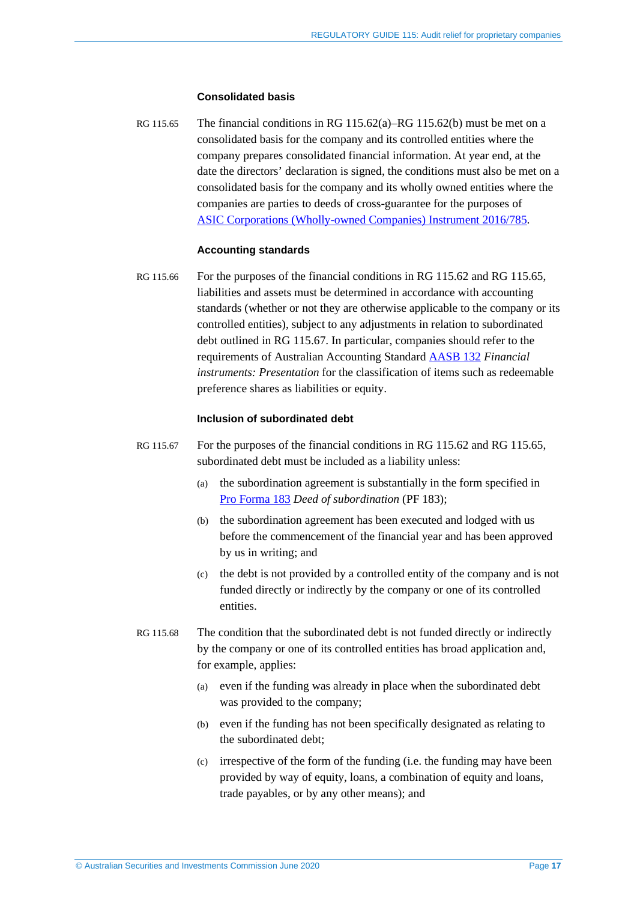#### **Consolidated basis**

<span id="page-16-0"></span>RG 115.65 The financial conditions in [RG 115.62\(a\)](#page-15-0)[–RG 115.62\(b\)](#page-15-1) must be met on a consolidated basis for the company and its controlled entities where the company prepares consolidated financial information. At year end, at the date the directors' declaration is signed, the conditions must also be met on a consolidated basis for the company and its wholly owned entities where the companies are parties to deeds of cross-guarantee for the purposes of ASIC [Corporations \(Wholly-owned Companies\) Instrument 2016/785.](https://www.legislation.gov.au/Details/F2016C01085)

#### **Accounting standards**

RG 115.66 For the purposes of the financial conditions in [RG 115.62](#page-15-2) and [RG 115.65,](#page-16-0) liabilities and assets must be determined in accordance with accounting standards (whether or not they are otherwise applicable to the company or its controlled entities), subject to any adjustments in relation to subordinated debt outlined in [RG 115.67.](#page-16-1) In particular, companies should refer to the requirements of Australian Accounting Standard [AASB 132](https://www.aasb.gov.au/Pronouncements/Current-standards.aspx) *Financial instruments: Presentation* for the classification of items such as redeemable preference shares as liabilities or equity.

#### **Inclusion of subordinated debt**

- <span id="page-16-1"></span>RG 115.67 For the purposes of the financial conditions in [RG 115.62](#page-15-2) and [RG 115.65,](#page-16-0) subordinated debt must be included as a liability unless:
	- (a) the subordination agreement is substantially in the form specified in Pro [Forma 183](https://asic.gov.au/regulatory-resources/find-a-document/pro-formas/) *Deed of subordination* (PF 183);
	- (b) the subordination agreement has been executed and lodged with us before the commencement of the financial year and has been approved by us in writing; and
	- (c) the debt is not provided by a controlled entity of the company and is not funded directly or indirectly by the company or one of its controlled entities.
- RG 115.68 The condition that the subordinated debt is not funded directly or indirectly by the company or one of its controlled entities has broad application and, for example, applies:
	- (a) even if the funding was already in place when the subordinated debt was provided to the company;
	- (b) even if the funding has not been specifically designated as relating to the subordinated debt;
	- (c) irrespective of the form of the funding (i.e. the funding may have been provided by way of equity, loans, a combination of equity and loans, trade payables, or by any other means); and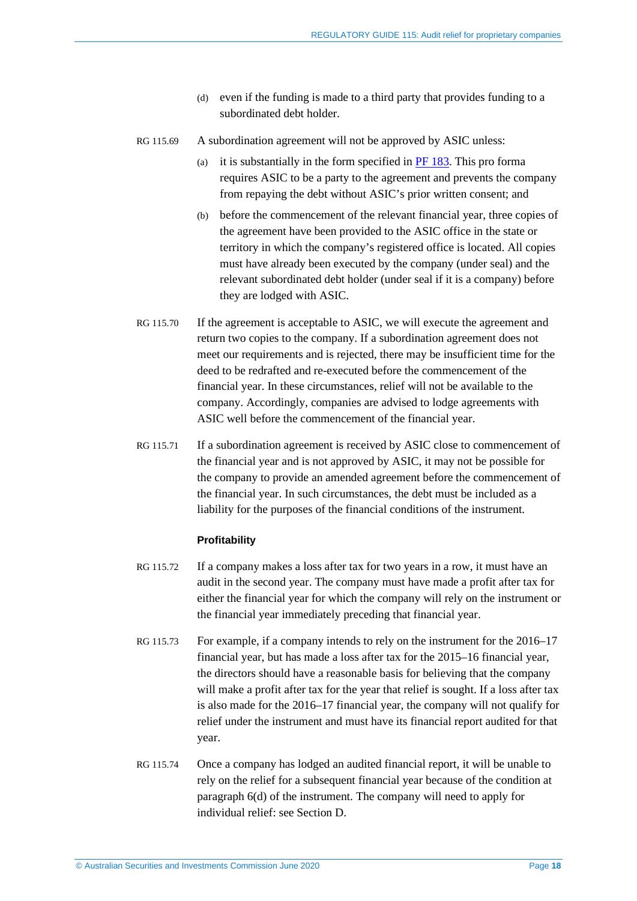- (d) even if the funding is made to a third party that provides funding to a subordinated debt holder.
- RG 115.69 A subordination agreement will not be approved by ASIC unless:
	- (a) it is substantially in the form specified in  $PF$  183. This pro forma requires ASIC to be a party to the agreement and prevents the company from repaying the debt without ASIC's prior written consent; and
	- (b) before the commencement of the relevant financial year, three copies of the agreement have been provided to the ASIC office in the state or territory in which the company's registered office is located. All copies must have already been executed by the company (under seal) and the relevant subordinated debt holder (under seal if it is a company) before they are lodged with ASIC.
- RG 115.70 If the agreement is acceptable to ASIC, we will execute the agreement and return two copies to the company. If a subordination agreement does not meet our requirements and is rejected, there may be insufficient time for the deed to be redrafted and re-executed before the commencement of the financial year. In these circumstances, relief will not be available to the company. Accordingly, companies are advised to lodge agreements with ASIC well before the commencement of the financial year.
- RG 115.71 If a subordination agreement is received by ASIC close to commencement of the financial year and is not approved by ASIC, it may not be possible for the company to provide an amended agreement before the commencement of the financial year. In such circumstances, the debt must be included as a liability for the purposes of the financial conditions of the instrument.

#### **Profitability**

- RG 115.72 If a company makes a loss after tax for two years in a row, it must have an audit in the second year. The company must have made a profit after tax for either the financial year for which the company will rely on the instrument or the financial year immediately preceding that financial year.
- RG 115.73 For example, if a company intends to rely on the instrument for the 2016–17 financial year, but has made a loss after tax for the 2015–16 financial year, the directors should have a reasonable basis for believing that the company will make a profit after tax for the year that relief is sought. If a loss after tax is also made for the 2016–17 financial year, the company will not qualify for relief under the instrument and must have its financial report audited for that year.
- RG 115.74 Once a company has lodged an audited financial report, it will be unable to rely on the relief for a subsequent financial year because of the condition at paragraph 6(d) of the instrument. The company will need to apply for individual relief: see Section [D.](#page-22-0)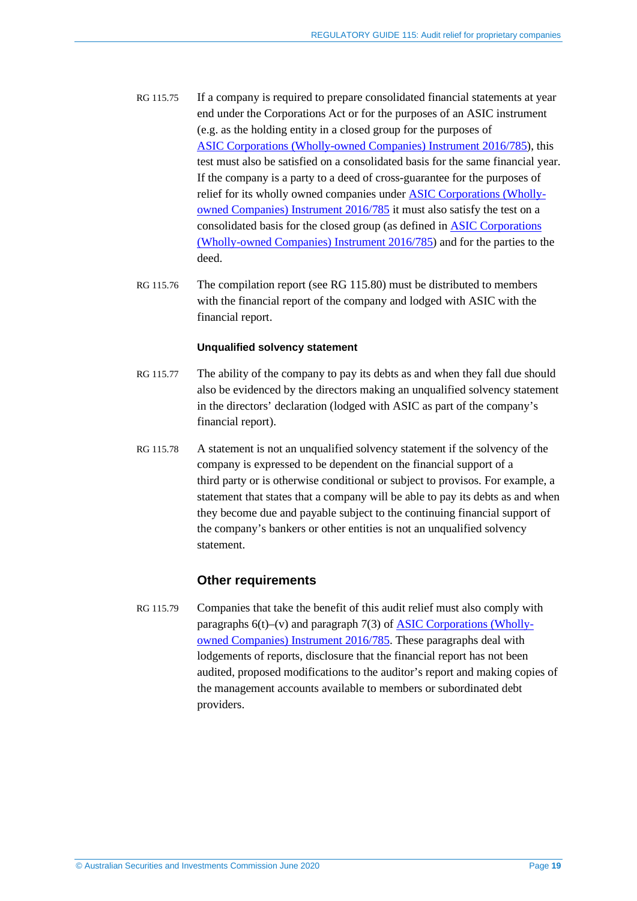- RG 115.75 If a company is required to prepare consolidated financial statements at year end under the Corporations Act or for the purposes of an ASIC instrument (e.g. as the holding entity in a closed group for the purposes of ASIC [Corporations \(Wholly-owned Companies\)](https://www.legislation.gov.au/Details/F2016C01085) Instrument 2016/785), this test must also be satisfied on a consolidated basis for the same financial year. If the company is a party to a deed of cross-guarantee for the purposes of relief for its wholly owned companies under [ASIC Corporations \(Wholly](https://www.legislation.gov.au/Details/F2016C01085)[owned Companies\) Instrument 2016/785](https://www.legislation.gov.au/Details/F2016C01085) it must also satisfy the test on a consolidated basis for the closed group (as defined in [ASIC Corporations](https://www.legislation.gov.au/Details/F2016C01085) [\(Wholly-owned Companies\) Instrument 2016/785\)](https://www.legislation.gov.au/Details/F2016C01085) and for the parties to the deed.
- RG 115.76 The compilation report (see [RG 115.80\)](#page-19-1) must be distributed to members with the financial report of the company and lodged with ASIC with the financial report.

### **Unqualified solvency statement**

- RG 115.77 The ability of the company to pay its debts as and when they fall due should also be evidenced by the directors making an unqualified solvency statement in the directors' declaration (lodged with ASIC as part of the company's financial report).
- RG 115.78 A statement is not an unqualified solvency statement if the solvency of the company is expressed to be dependent on the financial support of a third party or is otherwise conditional or subject to provisos. For example, a statement that states that a company will be able to pay its debts as and when they become due and payable subject to the continuing financial support of the company's bankers or other entities is not an unqualified solvency statement.

## **Other requirements**

RG 115.79 Companies that take the benefit of this audit relief must also comply with paragraphs  $6(t)$ –(v) and paragraph  $7(3)$  of [ASIC Corporations \(Wholly](https://www.legislation.gov.au/Details/F2016C01085)[owned Companies\) Instrument 2016/785.](https://www.legislation.gov.au/Details/F2016C01085) These paragraphs deal with lodgements of reports, disclosure that the financial report has not been audited, proposed modifications to the auditor's report and making copies of the management accounts available to members or subordinated debt providers.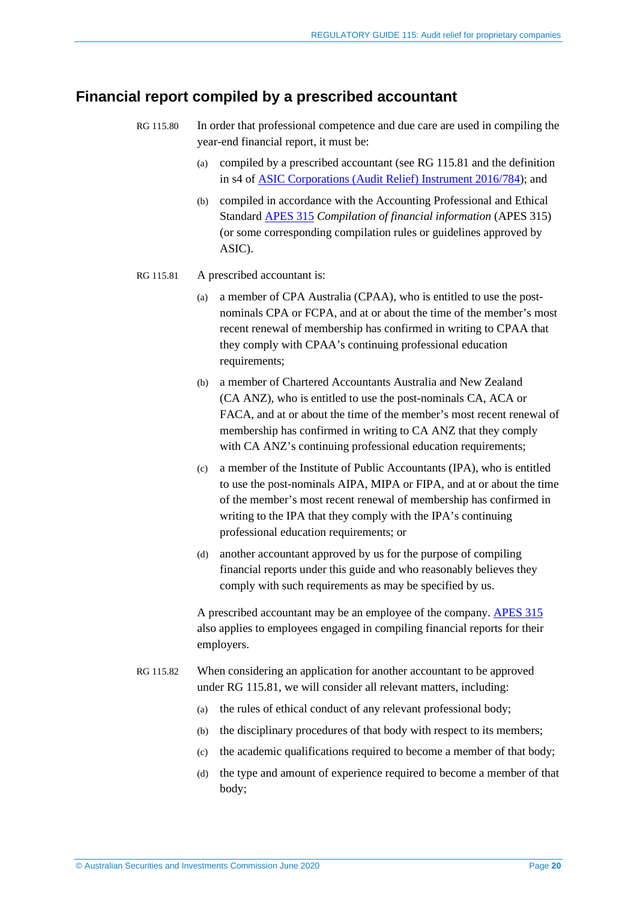## <span id="page-19-1"></span><span id="page-19-0"></span>**Financial report compiled by a prescribed accountant**

- RG 115.80 In order that professional competence and due care are used in compiling the year-end financial report, it must be:
	- (a) compiled by a prescribed accountant (see [RG 115.81](#page-19-2) and the definition in s4 of [ASIC Corporations \(Audit Relief\) Instrument 2016/784\)](https://www.legislation.gov.au/Details/F2016L01542); and
	- (b) compiled in accordance with the Accounting Professional and Ethical Standard [APES 315](https://www.apesb.org.au/page.php?id=12) *Compilation of financial information* (APES 315) (or some corresponding compilation rules or guidelines approved by ASIC).
- <span id="page-19-2"></span>RG 115.81 A prescribed accountant is:
	- (a) a member of CPA Australia (CPAA), who is entitled to use the postnominals CPA or FCPA, and at or about the time of the member's most recent renewal of membership has confirmed in writing to CPAA that they comply with CPAA's continuing professional education requirements;
	- (b) a member of Chartered Accountants Australia and New Zealand (CA ANZ), who is entitled to use the post-nominals CA, ACA or FACA, and at or about the time of the member's most recent renewal of membership has confirmed in writing to CA ANZ that they comply with CA ANZ's continuing professional education requirements;
	- (c) a member of the Institute of Public Accountants (IPA), who is entitled to use the post-nominals AIPA, MIPA or FIPA, and at or about the time of the member's most recent renewal of membership has confirmed in writing to the IPA that they comply with the IPA's continuing professional education requirements; or
	- (d) another accountant approved by us for the purpose of compiling financial reports under this guide and who reasonably believes they comply with such requirements as may be specified by us.

A prescribed accountant may be an employee of the company. [APES 315](https://www.apesb.org.au/page.php?id=12) also applies to employees engaged in compiling financial reports for their employers.

- RG 115.82 When considering an application for another accountant to be approved under [RG 115.81,](#page-19-2) we will consider all relevant matters, including:
	- (a) the rules of ethical conduct of any relevant professional body;
	- (b) the disciplinary procedures of that body with respect to its members;
	- (c) the academic qualifications required to become a member of that body;
	- (d) the type and amount of experience required to become a member of that body;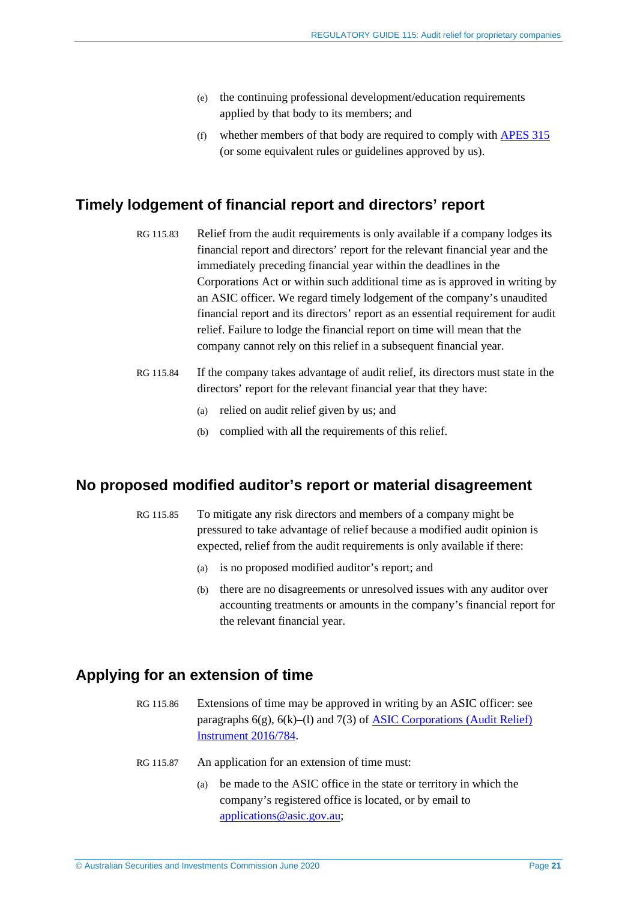- (e) the continuing professional development/education requirements applied by that body to its members; and
- (f) whether members of that body are required to comply wit[h APES](https://www.apesb.org.au/page.php?id=12) 315 (or some equivalent rules or guidelines approved by us).

## <span id="page-20-0"></span>**Timely lodgement of financial report and directors' report**

- RG 115.83 Relief from the audit requirements is only available if a company lodges its financial report and directors' report for the relevant financial year and the immediately preceding financial year within the deadlines in the Corporations Act or within such additional time as is approved in writing by an ASIC officer. We regard timely lodgement of the company's unaudited financial report and its directors' report as an essential requirement for audit relief. Failure to lodge the financial report on time will mean that the company cannot rely on this relief in a subsequent financial year.
- RG 115.84 If the company takes advantage of audit relief, its directors must state in the directors' report for the relevant financial year that they have:
	- (a) relied on audit relief given by us; and
	- (b) complied with all the requirements of this relief.

## <span id="page-20-1"></span>**No proposed modified auditor's report or material disagreement**

- RG 115.85 To mitigate any risk directors and members of a company might be pressured to take advantage of relief because a modified audit opinion is expected, relief from the audit requirements is only available if there:
	- (a) is no proposed modified auditor's report; and
	- (b) there are no disagreements or unresolved issues with any auditor over accounting treatments or amounts in the company's financial report for the relevant financial year.

# <span id="page-20-2"></span>**Applying for an extension of time**

- RG 115.86 Extensions of time may be approved in writing by an ASIC officer: see paragraphs  $6(g)$ ,  $6(k)$ –(1) and  $7(3)$  of ASIC Corporations (Audit Relief) [Instrument 2016/784.](https://www.legislation.gov.au/Details/F2016L01542)
- RG 115.87 An application for an extension of time must:
	- (a) be made to the ASIC office in the state or territory in which the company's registered office is located, or by email to [applications@asic.gov.au;](mailto:applications@asic.gov.au)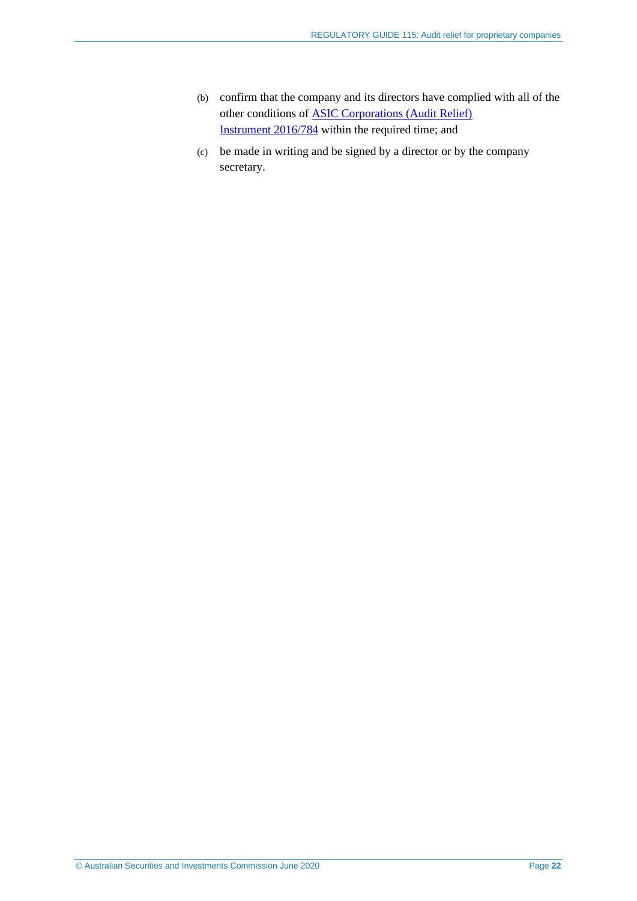- (b) confirm that the company and its directors have complied with all of the other conditions of [ASIC Corporations \(Audit Relief\)](https://www.legislation.gov.au/Details/F2016L01542)  [Instrument](https://www.legislation.gov.au/Details/F2016L01542) 2016/784 within the required time; and
- (c) be made in writing and be signed by a director or by the company secretary.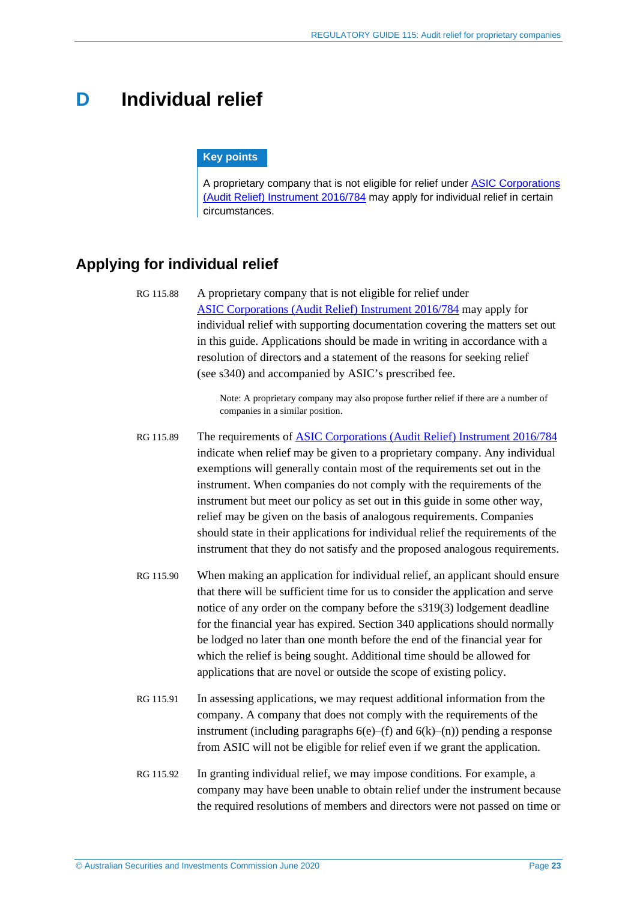# <span id="page-22-0"></span>**D Individual relief**

#### **Key points**

A proprietary company that is not eligible for relief under [ASIC Corporations](https://www.legislation.gov.au/Details/F2016L01542)  [\(Audit Relief\) Instrument 2016/784](https://www.legislation.gov.au/Details/F2016L01542) may apply for individual relief in certain circumstances.

# <span id="page-22-1"></span>**Applying for individual relief**

RG 115.88 A proprietary company that is not eligible for relief under ASIC [Corporations \(Audit Relief\) Instrument 2016/784](https://www.legislation.gov.au/Details/F2016L01542) may apply for individual relief with supporting documentation covering the matters set out in this guide. Applications should be made in writing in accordance with a resolution of directors and a statement of the reasons for seeking relief (see s340) and accompanied by ASIC's prescribed fee.

> Note: A proprietary company may also propose further relief if there are a number of companies in a similar position.

- RG 115.89 The requirements of ASIC Corporations [\(Audit Relief\) Instrument 2016/784](https://www.legislation.gov.au/Details/F2016L01542) indicate when relief may be given to a proprietary company. Any individual exemptions will generally contain most of the requirements set out in the instrument. When companies do not comply with the requirements of the instrument but meet our policy as set out in this guide in some other way, relief may be given on the basis of analogous requirements. Companies should state in their applications for individual relief the requirements of the instrument that they do not satisfy and the proposed analogous requirements.
- RG 115.90 When making an application for individual relief, an applicant should ensure that there will be sufficient time for us to consider the application and serve notice of any order on the company before the s319(3) lodgement deadline for the financial year has expired. Section 340 applications should normally be lodged no later than one month before the end of the financial year for which the relief is being sought. Additional time should be allowed for applications that are novel or outside the scope of existing policy.
- RG 115.91 In assessing applications, we may request additional information from the company. A company that does not comply with the requirements of the instrument (including paragraphs  $6(e)$ –(f) and  $6(k)$ –(n)) pending a response from ASIC will not be eligible for relief even if we grant the application.
- RG 115.92 In granting individual relief, we may impose conditions. For example, a company may have been unable to obtain relief under the instrument because the required resolutions of members and directors were not passed on time or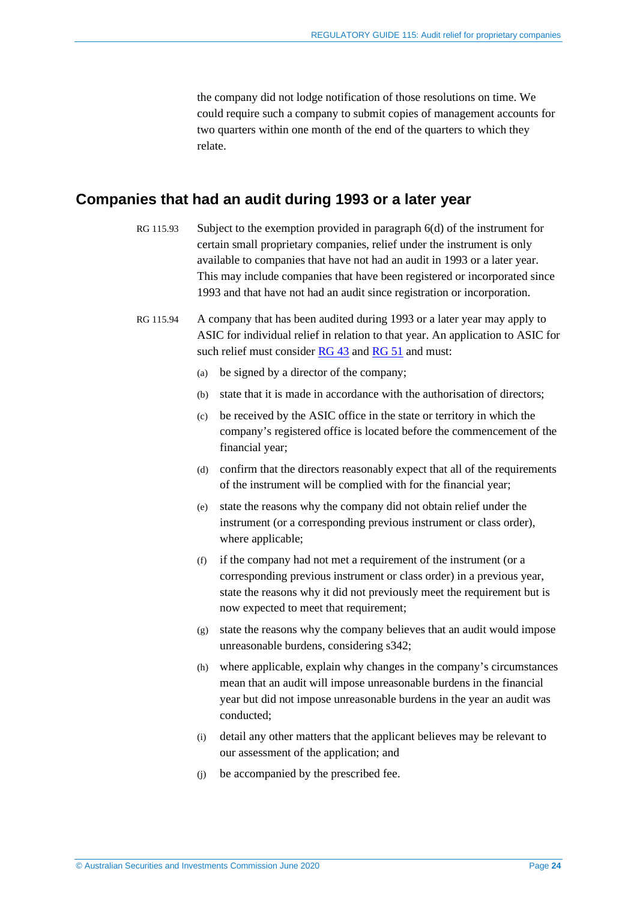the company did not lodge notification of those resolutions on time. We could require such a company to submit copies of management accounts for two quarters within one month of the end of the quarters to which they relate.

# <span id="page-23-0"></span>**Companies that had an audit during 1993 or a later year**

- RG 115.93 Subject to the exemption provided in paragraph 6(d) of the instrument for certain small proprietary companies, relief under the instrument is only available to companies that have not had an audit in 1993 or a later year. This may include companies that have been registered or incorporated since 1993 and that have not had an audit since registration or incorporation.
- RG 115.94 A company that has been audited during 1993 or a later year may apply to ASIC for individual relief in relation to that year. An application to ASIC for such relief must consider  $\overline{RG}$  43 and  $\overline{RG}$  51 and must:
	- (a) be signed by a director of the company;
	- (b) state that it is made in accordance with the authorisation of directors;
	- (c) be received by the ASIC office in the state or territory in which the company's registered office is located before the commencement of the financial year;
	- (d) confirm that the directors reasonably expect that all of the requirements of the instrument will be complied with for the financial year;
	- (e) state the reasons why the company did not obtain relief under the instrument (or a corresponding previous instrument or class order), where applicable;
	- (f) if the company had not met a requirement of the instrument (or a corresponding previous instrument or class order) in a previous year, state the reasons why it did not previously meet the requirement but is now expected to meet that requirement;
	- (g) state the reasons why the company believes that an audit would impose unreasonable burdens, considering s342;
	- (h) where applicable, explain why changes in the company's circumstances mean that an audit will impose unreasonable burdens in the financial year but did not impose unreasonable burdens in the year an audit was conducted;
	- (i) detail any other matters that the applicant believes may be relevant to our assessment of the application; and
	- (j) be accompanied by the prescribed fee.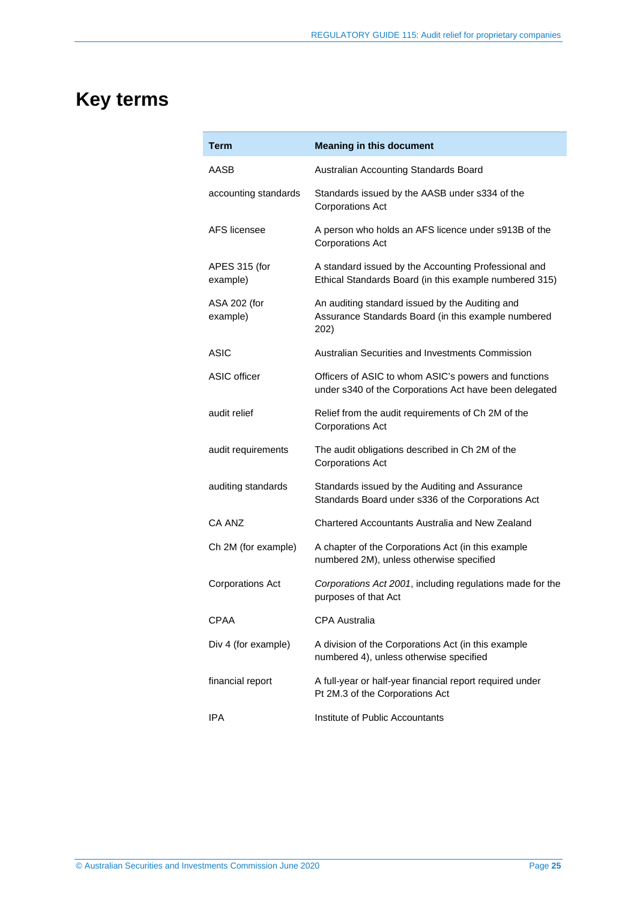# **Key terms**

| Term                      | <b>Meaning in this document</b>                                                                                |
|---------------------------|----------------------------------------------------------------------------------------------------------------|
| AASB                      | Australian Accounting Standards Board                                                                          |
| accounting standards      | Standards issued by the AASB under s334 of the<br><b>Corporations Act</b>                                      |
| AFS licensee              | A person who holds an AFS licence under s913B of the<br><b>Corporations Act</b>                                |
| APES 315 (for<br>example) | A standard issued by the Accounting Professional and<br>Ethical Standards Board (in this example numbered 315) |
| ASA 202 (for<br>example)  | An auditing standard issued by the Auditing and<br>Assurance Standards Board (in this example numbered<br>202) |
| ASIC                      | Australian Securities and Investments Commission                                                               |
| ASIC officer              | Officers of ASIC to whom ASIC's powers and functions<br>under s340 of the Corporations Act have been delegated |
| audit relief              | Relief from the audit requirements of Ch 2M of the<br><b>Corporations Act</b>                                  |
| audit requirements        | The audit obligations described in Ch 2M of the<br><b>Corporations Act</b>                                     |
| auditing standards        | Standards issued by the Auditing and Assurance<br>Standards Board under s336 of the Corporations Act           |
| CA ANZ                    | Chartered Accountants Australia and New Zealand                                                                |
| Ch 2M (for example)       | A chapter of the Corporations Act (in this example<br>numbered 2M), unless otherwise specified                 |
| <b>Corporations Act</b>   | Corporations Act 2001, including regulations made for the<br>purposes of that Act                              |
| <b>CPAA</b>               | <b>CPA Australia</b>                                                                                           |
| Div 4 (for example)       | A division of the Corporations Act (in this example<br>numbered 4), unless otherwise specified                 |
| financial report          | A full-year or half-year financial report required under<br>Pt 2M.3 of the Corporations Act                    |
| IPA                       | Institute of Public Accountants                                                                                |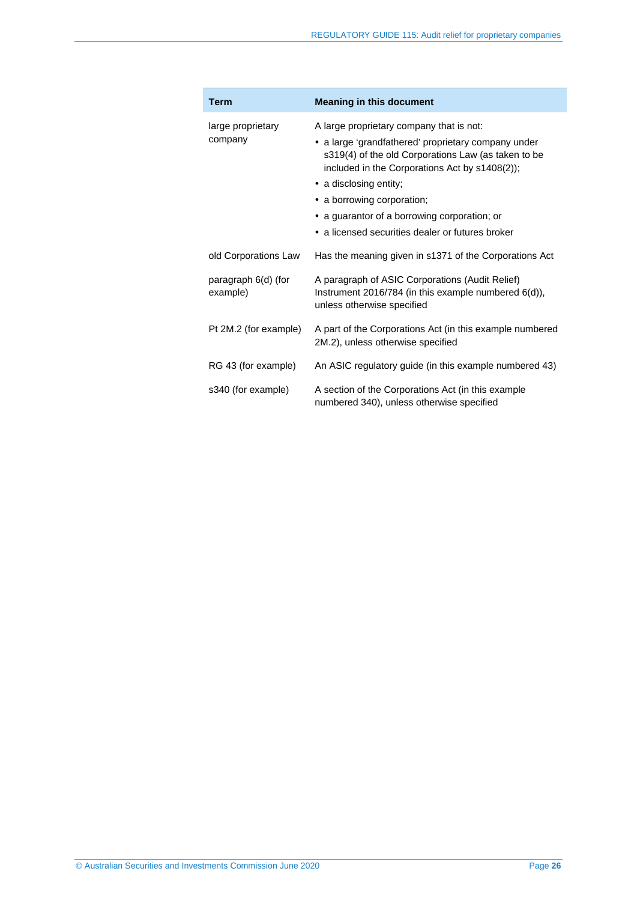| <b>Term</b>                     | <b>Meaning in this document</b>                                                                                                                                                                                                                                                                                                                                      |
|---------------------------------|----------------------------------------------------------------------------------------------------------------------------------------------------------------------------------------------------------------------------------------------------------------------------------------------------------------------------------------------------------------------|
| large proprietary<br>company    | A large proprietary company that is not:<br>• a large 'grandfathered' proprietary company under<br>s319(4) of the old Corporations Law (as taken to be<br>included in the Corporations Act by s1408(2));<br>• a disclosing entity;<br>• a borrowing corporation;<br>• a guarantor of a borrowing corporation; or<br>• a licensed securities dealer or futures broker |
| old Corporations Law            | Has the meaning given in s1371 of the Corporations Act                                                                                                                                                                                                                                                                                                               |
| paragraph 6(d) (for<br>example) | A paragraph of ASIC Corporations (Audit Relief)<br>Instrument 2016/784 (in this example numbered $6(d)$ ),<br>unless otherwise specified                                                                                                                                                                                                                             |
| Pt 2M.2 (for example)           | A part of the Corporations Act (in this example numbered<br>2M.2), unless otherwise specified                                                                                                                                                                                                                                                                        |
| RG 43 (for example)             | An ASIC regulatory guide (in this example numbered 43)                                                                                                                                                                                                                                                                                                               |
| s340 (for example)              | A section of the Corporations Act (in this example<br>numbered 340), unless otherwise specified                                                                                                                                                                                                                                                                      |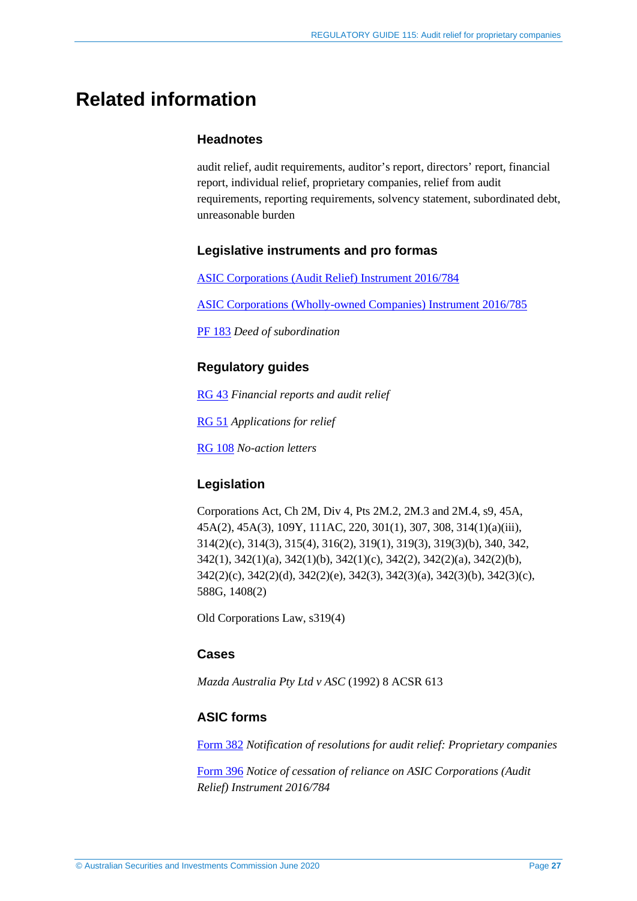# **Related information**

## **Headnotes**

audit relief, audit requirements, auditor's report, directors' report, financial report, individual relief, proprietary companies, relief from audit requirements, reporting requirements, solvency statement, subordinated debt, unreasonable burden

## **Legislative instruments and pro formas**

[ASIC Corporations \(Audit Relief\) Instrument 2016/784](https://www.legislation.gov.au/Details/F2016L01542)

[ASIC Corporations \(Wholly-owned Companies\) Instrument 2016/785](https://www.legislation.gov.au/Details/F2016C01085)

[PF 183](http://asic.gov.au/regulatory-resources/find-a-document/pro-formas/) *Deed of subordination*

# **Regulatory guides**

[RG 43](http://asic.gov.au/regulatory-resources/find-a-document/regulatory-guides/rg-43-financial-reports-and-audit-relief/) *Financial reports and audit relief*

[RG 51](http://www.asic.gov.au/regulatory-resources/find-a-document/regulatory-guides/rg-51-applications-for-relief/) *Applications for relief*

[RG 108](http://www.asic.gov.au/regulatory-resources/find-a-document/regulatory-guides/rg-108-no-action-letters/) *No-action letters*

# **Legislation**

Corporations Act, Ch 2M, Div 4, Pts 2M.2, 2M.3 and 2M.4, s9, 45A, 45A(2), 45A(3), 109Y, 111AC, 220, 301(1), 307, 308, 314(1)(a)(iii), 314(2)(c), 314(3), 315(4), 316(2), 319(1), 319(3), 319(3)(b), 340, 342, 342(1), 342(1)(a), 342(1)(b), 342(1)(c), 342(2), 342(2)(a), 342(2)(b), 342(2)(c), 342(2)(d), 342(2)(e), 342(3), 342(3)(a), 342(3)(b), 342(3)(c), 588G, 1408(2)

Old Corporations Law, s319(4)

# **Cases**

*Mazda Australia Pty Ltd v ASC* (1992) 8 ACSR 613

# **ASIC forms**

[Form 382](http://asic.gov.au/regulatory-resources/forms/forms-folder/382-notification-of-resolutions-for-audit-relief-proprietary-companies/) *Notification of resolutions for audit relief: Proprietary companies*

[Form 396](https://asic.gov.au/regulatory-resources/forms/forms-folder/396-notice-of-cessation-of-reliance-on-asic-corporations-audit-relief-instrument-2016784/) *Notice of cessation of reliance on ASIC Corporations (Audit Relief) Instrument 2016/784*